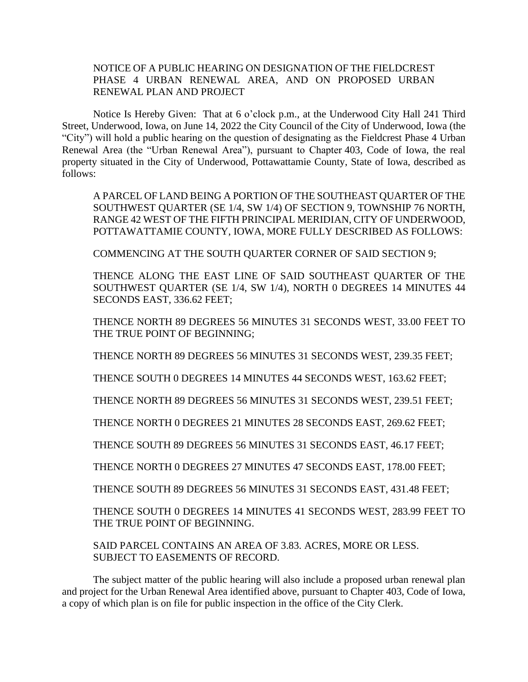## NOTICE OF A PUBLIC HEARING ON DESIGNATION OF THE FIELDCREST PHASE 4 URBAN RENEWAL AREA, AND ON PROPOSED URBAN RENEWAL PLAN AND PROJECT

Notice Is Hereby Given: That at 6 o'clock p.m., at the Underwood City Hall 241 Third Street, Underwood, Iowa, on June 14, 2022 the City Council of the City of Underwood, Iowa (the "City") will hold a public hearing on the question of designating as the Fieldcrest Phase 4 Urban Renewal Area (the "Urban Renewal Area"), pursuant to Chapter 403, Code of Iowa, the real property situated in the City of Underwood, Pottawattamie County, State of Iowa, described as follows:

A PARCEL OF LAND BEING A PORTION OF THE SOUTHEAST QUARTER OF THE SOUTHWEST QUARTER (SE 1/4, SW 1/4) OF SECTION 9, TOWNSHIP 76 NORTH, RANGE 42 WEST OF THE FIFTH PRINCIPAL MERIDIAN, CITY OF UNDERWOOD, POTTAWATTAMIE COUNTY, IOWA, MORE FULLY DESCRIBED AS FOLLOWS:

COMMENCING AT THE SOUTH QUARTER CORNER OF SAID SECTION 9;

THENCE ALONG THE EAST LINE OF SAID SOUTHEAST QUARTER OF THE SOUTHWEST QUARTER (SE 1/4, SW 1/4), NORTH 0 DEGREES 14 MINUTES 44 SECONDS EAST, 336.62 FEET;

THENCE NORTH 89 DEGREES 56 MINUTES 31 SECONDS WEST, 33.00 FEET TO THE TRUE POINT OF BEGINNING;

THENCE NORTH 89 DEGREES 56 MINUTES 31 SECONDS WEST, 239.35 FEET;

THENCE SOUTH 0 DEGREES 14 MINUTES 44 SECONDS WEST, 163.62 FEET;

THENCE NORTH 89 DEGREES 56 MINUTES 31 SECONDS WEST, 239.51 FEET;

THENCE NORTH 0 DEGREES 21 MINUTES 28 SECONDS EAST, 269.62 FEET;

THENCE SOUTH 89 DEGREES 56 MINUTES 31 SECONDS EAST, 46.17 FEET;

THENCE NORTH 0 DEGREES 27 MINUTES 47 SECONDS EAST, 178.00 FEET;

THENCE SOUTH 89 DEGREES 56 MINUTES 31 SECONDS EAST, 431.48 FEET;

THENCE SOUTH 0 DEGREES 14 MINUTES 41 SECONDS WEST, 283.99 FEET TO THE TRUE POINT OF BEGINNING.

SAID PARCEL CONTAINS AN AREA OF 3.83. ACRES, MORE OR LESS. SUBJECT TO EASEMENTS OF RECORD.

The subject matter of the public hearing will also include a proposed urban renewal plan and project for the Urban Renewal Area identified above, pursuant to Chapter 403, Code of Iowa, a copy of which plan is on file for public inspection in the office of the City Clerk.